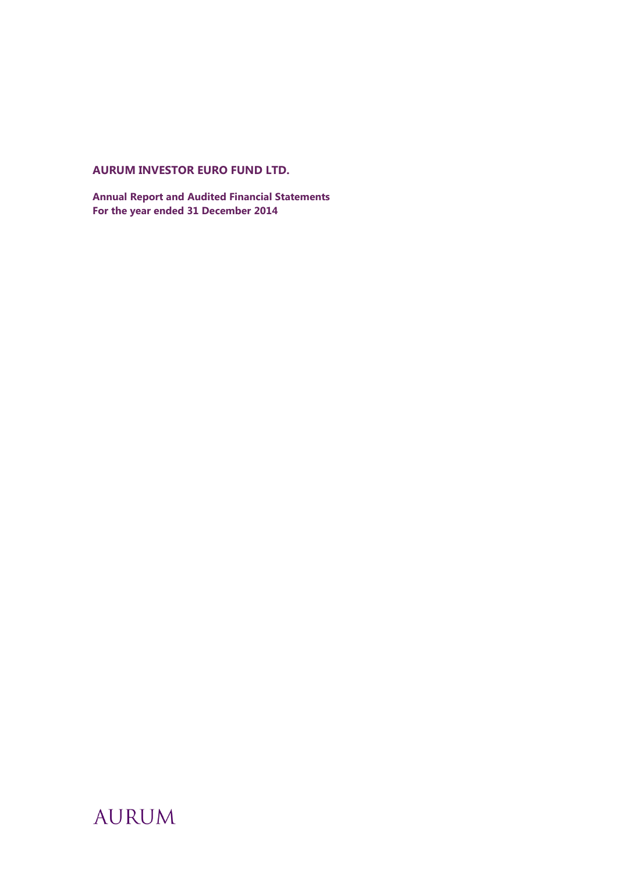# **AURUM INVESTOR EURO FUND LTD.**

**Annual Report and Audited Financial Statements For the year ended 31 December 2014**

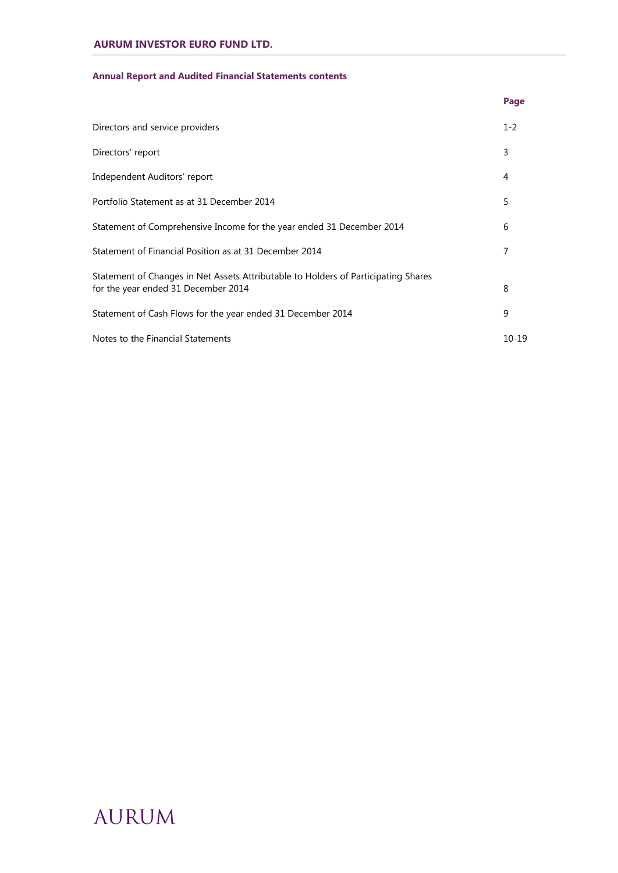## **Annual Report and Audited Financial Statements contents**

|                                                                                                                           | Page      |
|---------------------------------------------------------------------------------------------------------------------------|-----------|
| Directors and service providers                                                                                           | $1 - 2$   |
| Directors' report                                                                                                         | 3         |
| Independent Auditors' report                                                                                              | 4         |
| Portfolio Statement as at 31 December 2014                                                                                | 5         |
| Statement of Comprehensive Income for the year ended 31 December 2014                                                     | 6         |
| Statement of Financial Position as at 31 December 2014                                                                    | 7         |
| Statement of Changes in Net Assets Attributable to Holders of Participating Shares<br>for the year ended 31 December 2014 | 8         |
| Statement of Cash Flows for the year ended 31 December 2014                                                               | 9         |
| Notes to the Financial Statements                                                                                         | $10 - 19$ |

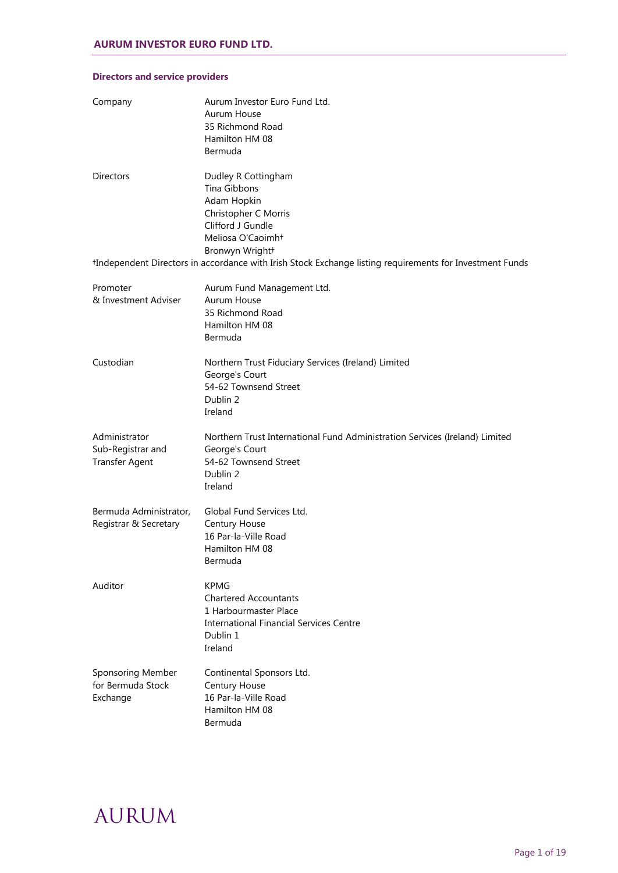| Company                                                     | Aurum Investor Euro Fund Ltd.<br>Aurum House<br>35 Richmond Road<br>Hamilton HM 08<br>Bermuda                                                 |
|-------------------------------------------------------------|-----------------------------------------------------------------------------------------------------------------------------------------------|
| <b>Directors</b>                                            | Dudley R Cottingham<br>Tina Gibbons<br>Adam Hopkin<br>Christopher C Morris<br>Clifford J Gundle<br>Meliosa O'Caoimht                          |
|                                                             | Bronwyn Wright+<br>*Independent Directors in accordance with Irish Stock Exchange listing requirements for Investment Funds                   |
| Promoter<br>& Investment Adviser                            | Aurum Fund Management Ltd.<br>Aurum House<br>35 Richmond Road<br>Hamilton HM 08<br>Bermuda                                                    |
| Custodian                                                   | Northern Trust Fiduciary Services (Ireland) Limited<br>George's Court<br>54-62 Townsend Street<br>Dublin 2<br>Ireland                         |
| Administrator<br>Sub-Registrar and<br><b>Transfer Agent</b> | Northern Trust International Fund Administration Services (Ireland) Limited<br>George's Court<br>54-62 Townsend Street<br>Dublin 2<br>Ireland |
| Bermuda Administrator,<br>Registrar & Secretary             | Global Fund Services Ltd.<br><b>Century House</b><br>16 Par-la-Ville Road<br>Hamilton HM 08<br>Bermuda                                        |
| Auditor                                                     | <b>KPMG</b><br><b>Chartered Accountants</b><br>1 Harbourmaster Place<br><b>International Financial Services Centre</b><br>Dublin 1<br>Ireland |
| Sponsoring Member<br>for Bermuda Stock<br>Exchange          | Continental Sponsors Ltd.<br>Century House<br>16 Par-la-Ville Road<br>Hamilton HM 08<br>Bermuda                                               |

## **Directors and service providers**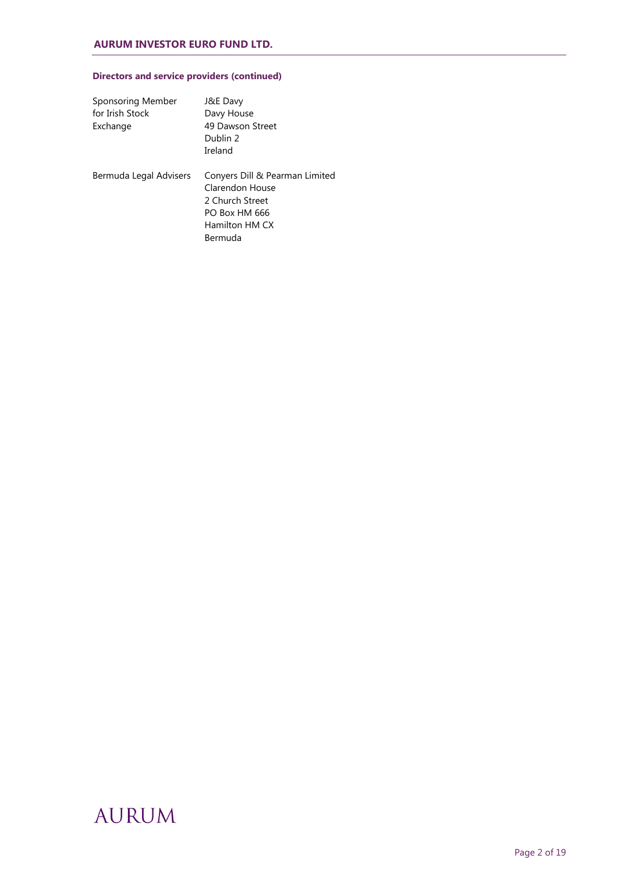## **Directors and service providers (continued)**

| Sponsoring Member<br>for Irish Stock<br>Exchange | J&E Davy<br>Davy House<br>49 Dawson Street<br>Dublin 2<br>Ireland                                                  |
|--------------------------------------------------|--------------------------------------------------------------------------------------------------------------------|
| Bermuda Legal Advisers                           | Conyers Dill & Pearman Limited<br>Clarendon House<br>2 Church Street<br>PO Box HM 666<br>Hamilton HM CX<br>Bermuda |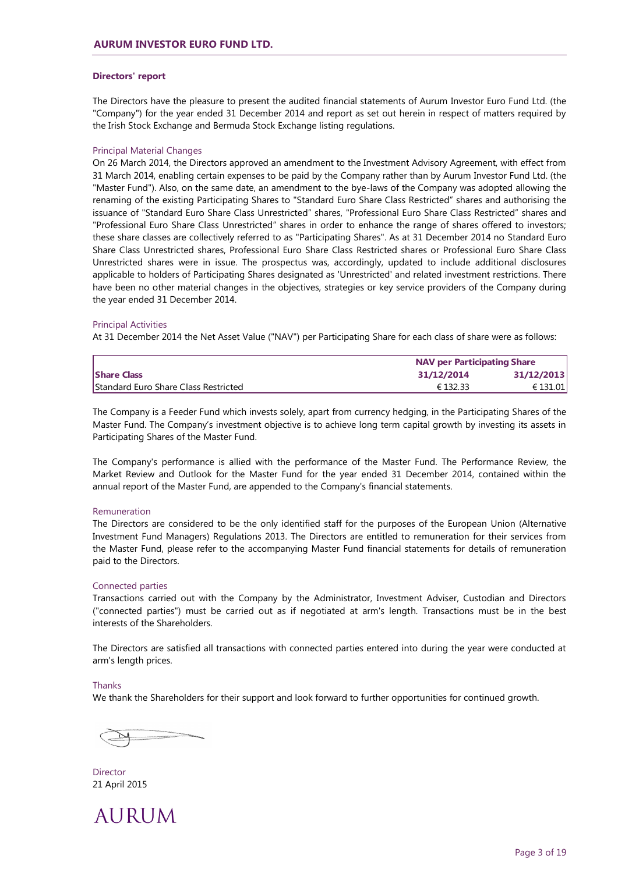## **Directors' report**

The Directors have the pleasure to present the audited financial statements of Aurum Investor Euro Fund Ltd. (the "Company") for the year ended 31 December 2014 and report as set out herein in respect of matters required by the Irish Stock Exchange and Bermuda Stock Exchange listing regulations.

### Principal Material Changes

On 26 March 2014, the Directors approved an amendment to the Investment Advisory Agreement, with effect from 31 March 2014, enabling certain expenses to be paid by the Company rather than by Aurum Investor Fund Ltd. (the "Master Fund"). Also, on the same date, an amendment to the bye-laws of the Company was adopted allowing the renaming of the existing Participating Shares to "Standard Euro Share Class Restricted" shares and authorising the issuance of "Standard Euro Share Class Unrestricted" shares, "Professional Euro Share Class Restricted" shares and "Professional Euro Share Class Unrestricted" shares in order to enhance the range of shares offered to investors; these share classes are collectively referred to as "Participating Shares". As at 31 December 2014 no Standard Euro Share Class Unrestricted shares, Professional Euro Share Class Restricted shares or Professional Euro Share Class Unrestricted shares were in issue. The prospectus was, accordingly, updated to include additional disclosures applicable to holders of Participating Shares designated as 'Unrestricted' and related investment restrictions. There have been no other material changes in the objectives, strategies or key service providers of the Company during the year ended 31 December 2014.

#### Principal Activities

At 31 December 2014 the Net Asset Value ("NAV") per Participating Share for each class of share were as follows:

|                                      | <b>NAV per Participating Share</b> |            |
|--------------------------------------|------------------------------------|------------|
| <b>Share Class</b>                   | 31/12/2014                         | 31/12/2013 |
| Standard Euro Share Class Restricted | € 132.33                           | € 131.01   |

The Company is a Feeder Fund which invests solely, apart from currency hedging, in the Participating Shares of the Master Fund. The Company's investment objective is to achieve long term capital growth by investing its assets in Participating Shares of the Master Fund.

The Company's performance is allied with the performance of the Master Fund. The Performance Review, the Market Review and Outlook for the Master Fund for the year ended 31 December 2014, contained within the annual report of the Master Fund, are appended to the Company's financial statements.

#### Remuneration

The Directors are considered to be the only identified staff for the purposes of the European Union (Alternative Investment Fund Managers) Regulations 2013. The Directors are entitled to remuneration for their services from the Master Fund, please refer to the accompanying Master Fund financial statements for details of remuneration paid to the Directors.

#### Connected parties

Transactions carried out with the Company by the Administrator, Investment Adviser, Custodian and Directors ("connected parties") must be carried out as if negotiated at arm's length. Transactions must be in the best interests of the Shareholders.

The Directors are satisfied all transactions with connected parties entered into during the year were conducted at arm's length prices.

### Thanks

We thank the Shareholders for their support and look forward to further opportunities for continued growth.

**Director** 21 April 2015

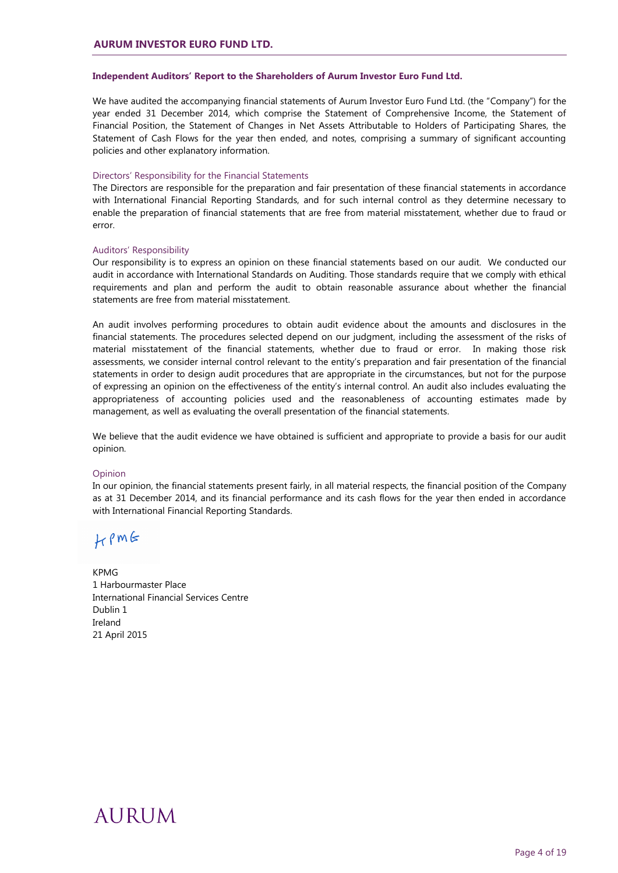## **Independent Auditors' Report to the Shareholders of Aurum Investor Euro Fund Ltd.**

We have audited the accompanying financial statements of Aurum Investor Euro Fund Ltd. (the "Company") for the year ended 31 December 2014, which comprise the Statement of Comprehensive Income, the Statement of Financial Position, the Statement of Changes in Net Assets Attributable to Holders of Participating Shares, the Statement of Cash Flows for the year then ended, and notes, comprising a summary of significant accounting policies and other explanatory information.

#### Directors' Responsibility for the Financial Statements

The Directors are responsible for the preparation and fair presentation of these financial statements in accordance with International Financial Reporting Standards, and for such internal control as they determine necessary to enable the preparation of financial statements that are free from material misstatement, whether due to fraud or error.

#### Auditors' Responsibility

Our responsibility is to express an opinion on these financial statements based on our audit. We conducted our audit in accordance with International Standards on Auditing. Those standards require that we comply with ethical requirements and plan and perform the audit to obtain reasonable assurance about whether the financial statements are free from material misstatement.

An audit involves performing procedures to obtain audit evidence about the amounts and disclosures in the financial statements. The procedures selected depend on our judgment, including the assessment of the risks of material misstatement of the financial statements, whether due to fraud or error. In making those risk assessments, we consider internal control relevant to the entity's preparation and fair presentation of the financial statements in order to design audit procedures that are appropriate in the circumstances, but not for the purpose of expressing an opinion on the effectiveness of the entity's internal control. An audit also includes evaluating the appropriateness of accounting policies used and the reasonableness of accounting estimates made by management, as well as evaluating the overall presentation of the financial statements.

We believe that the audit evidence we have obtained is sufficient and appropriate to provide a basis for our audit opinion.

#### **Opinion**

In our opinion, the financial statements present fairly, in all material respects, the financial position of the Company as at 31 December 2014, and its financial performance and its cash flows for the year then ended in accordance with International Financial Reporting Standards.

 $HPM$ 

KPMG 1 Harbourmaster Place International Financial Services Centre Dublin 1 Ireland 21 April 2015

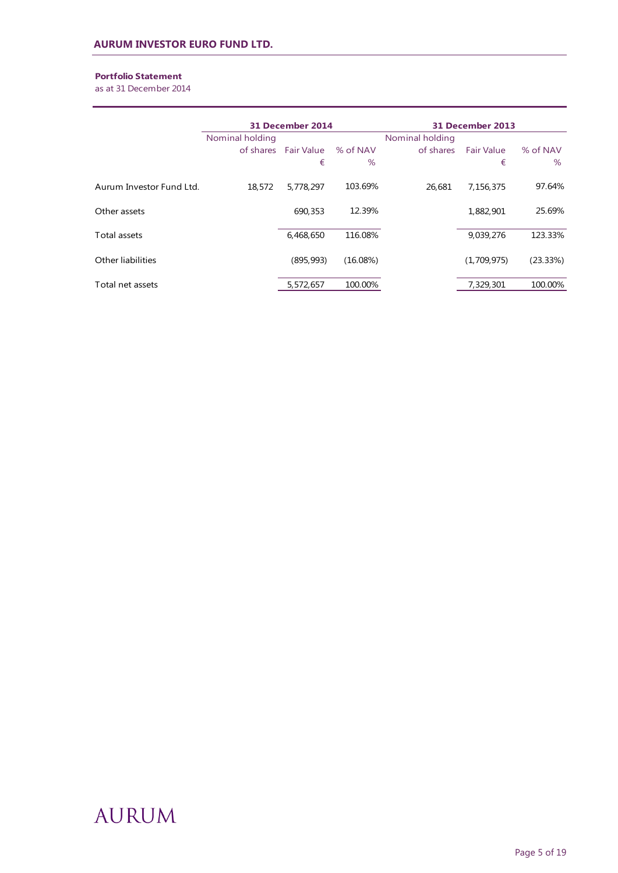## **Portfolio Statement**

as at 31 December 2014

|                          | 31 December 2014 |                           | 31 December 2013 |                 |                        |                  |
|--------------------------|------------------|---------------------------|------------------|-----------------|------------------------|------------------|
|                          | Nominal holding  |                           |                  | Nominal holding |                        |                  |
|                          |                  | of shares Fair Value<br>€ | % of NAV<br>$\%$ | of shares       | <b>Fair Value</b><br>€ | % of NAV<br>$\%$ |
| Aurum Investor Fund Ltd. | 18,572           | 5,778,297                 | 103.69%          | 26.681          | 7,156,375              | 97.64%           |
| Other assets             |                  | 690,353                   | 12.39%           |                 | 1,882,901              | 25.69%           |
| Total assets             |                  | 6,468,650                 | 116.08%          |                 | 9,039,276              | 123.33%          |
| Other liabilities        |                  | (895, 993)                | (16.08%)         |                 | (1,709,975)            | (23.33%)         |
| Total net assets         |                  | 5,572,657                 | 100.00%          |                 | 7,329,301              | 100.00%          |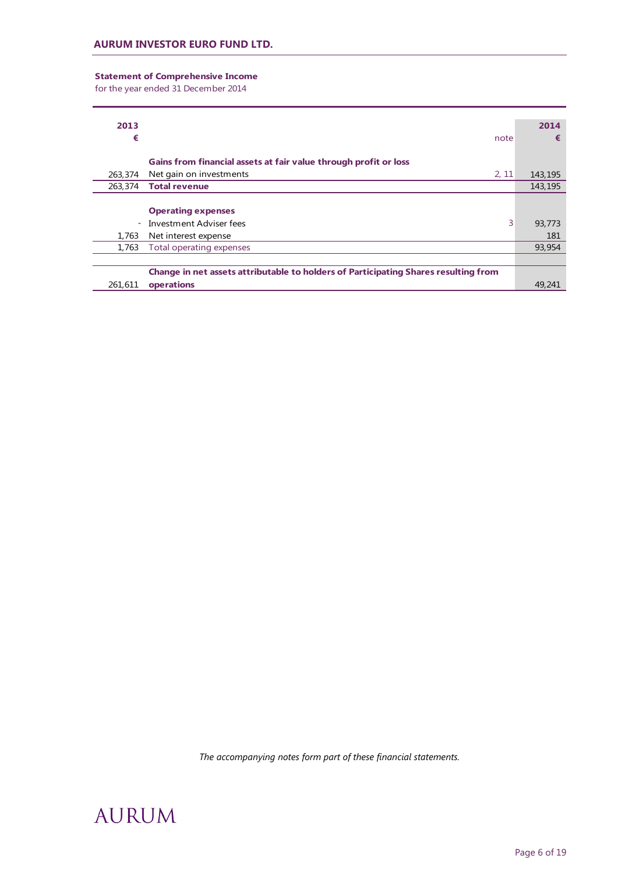## **Statement of Comprehensive Income**

for the year ended 31 December 2014

| 2013    |                                                                                     | 2014    |
|---------|-------------------------------------------------------------------------------------|---------|
| €       | note                                                                                | €       |
|         |                                                                                     |         |
|         | Gains from financial assets at fair value through profit or loss                    |         |
| 263,374 | Net gain on investments<br>2, 11                                                    | 143,195 |
| 263,374 | <b>Total revenue</b>                                                                | 143,195 |
|         |                                                                                     |         |
|         | <b>Operating expenses</b>                                                           |         |
|         | 3<br>- Investment Adviser fees                                                      | 93,773  |
| 1,763   | Net interest expense                                                                | 181     |
| 1,763   | Total operating expenses                                                            | 93,954  |
|         |                                                                                     |         |
|         | Change in net assets attributable to holders of Participating Shares resulting from |         |
| 261.611 | operations                                                                          | 49,241  |

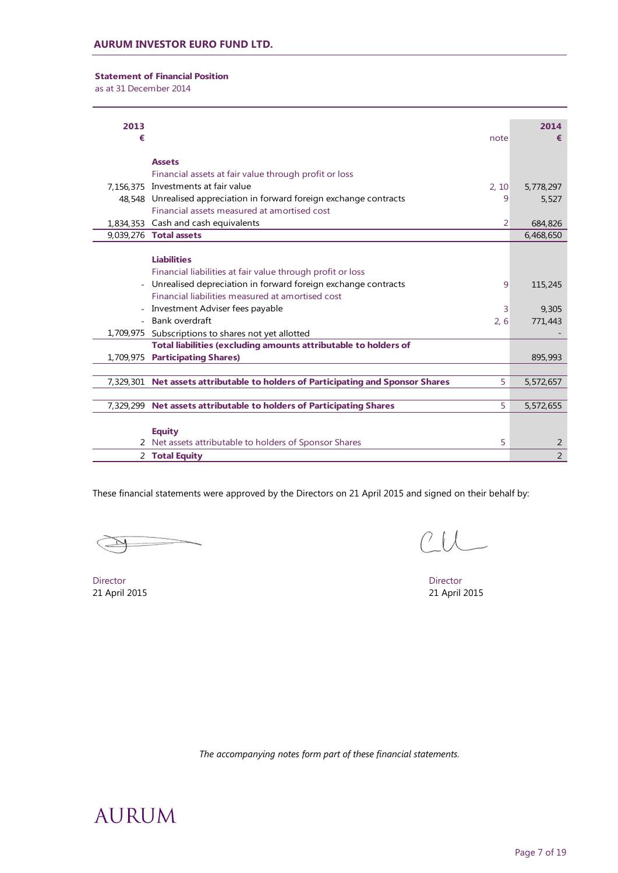**Statement of Financial Position**

as at 31 December 2014

| 2013 |                                                                                       | 2014           |
|------|---------------------------------------------------------------------------------------|----------------|
| €    | note                                                                                  | €              |
|      | <b>Assets</b>                                                                         |                |
|      | Financial assets at fair value through profit or loss                                 |                |
|      | 7,156,375 Investments at fair value<br>2, 10                                          | 5,778,297      |
|      | 48,548 Unrealised appreciation in forward foreign exchange contracts<br>9             | 5,527          |
|      | Financial assets measured at amortised cost                                           |                |
|      | 1,834,353 Cash and cash equivalents<br>2                                              | 684,826        |
|      | 9,039,276 Total assets                                                                | 6,468,650      |
|      |                                                                                       |                |
|      | <b>Liabilities</b>                                                                    |                |
|      | Financial liabilities at fair value through profit or loss                            |                |
|      | Unrealised depreciation in forward foreign exchange contracts<br>9                    | 115,245        |
|      | Financial liabilities measured at amortised cost                                      |                |
|      | - Investment Adviser fees payable<br>3                                                | 9,305          |
|      | - Bank overdraft<br>2, 6                                                              | 771,443        |
|      | 1,709,975 Subscriptions to shares not yet allotted                                    |                |
|      | Total liabilities (excluding amounts attributable to holders of                       |                |
|      | 1,709,975 Participating Shares)                                                       | 895,993        |
|      |                                                                                       |                |
|      | 5<br>7,329,301 Net assets attributable to holders of Participating and Sponsor Shares | 5,572,657      |
|      |                                                                                       |                |
|      | 7,329,299 Net assets attributable to holders of Participating Shares<br>5             | 5,572,655      |
|      |                                                                                       |                |
|      | <b>Equity</b>                                                                         |                |
|      | 5<br>2 Net assets attributable to holders of Sponsor Shares                           | 2              |
|      | 2 Total Equity                                                                        | $\overline{2}$ |

These financial statements were approved by the Directors on 21 April 2015 and signed on their behalf by:

Director Director 21 April 2015 21 April 2015

 $CUL$ 

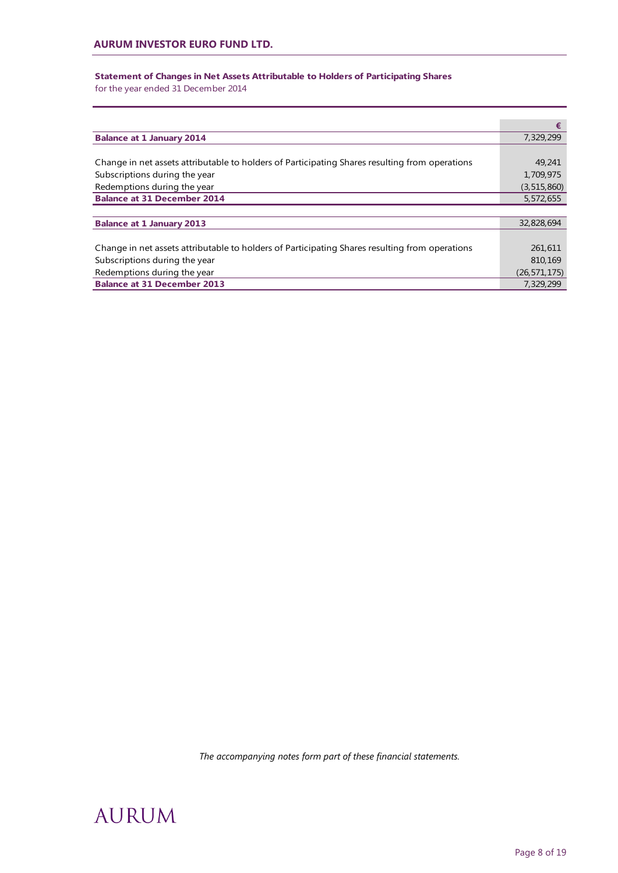## **Statement of Changes in Net Assets Attributable to Holders of Participating Shares**

for the year ended 31 December 2014

|                                                                                                | €              |
|------------------------------------------------------------------------------------------------|----------------|
| <b>Balance at 1 January 2014</b>                                                               | 7,329,299      |
|                                                                                                |                |
| Change in net assets attributable to holders of Participating Shares resulting from operations | 49,241         |
| Subscriptions during the year                                                                  | 1,709,975      |
| Redemptions during the year                                                                    | (3, 515, 860)  |
| <b>Balance at 31 December 2014</b>                                                             | 5,572,655      |
|                                                                                                |                |
| <b>Balance at 1 January 2013</b>                                                               | 32,828,694     |
|                                                                                                |                |
| Change in net assets attributable to holders of Participating Shares resulting from operations | 261,611        |
| Subscriptions during the year                                                                  | 810,169        |
| Redemptions during the year                                                                    | (26, 571, 175) |
| <b>Balance at 31 December 2013</b>                                                             | 7,329,299      |

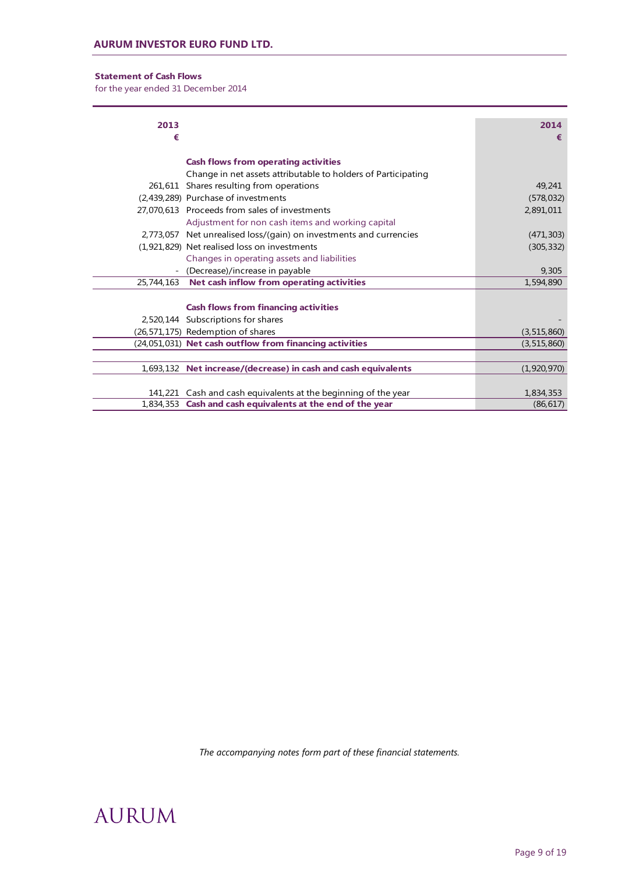## **Statement of Cash Flows**

for the year ended 31 December 2014

| 2013<br>€  |                                                                    | 2014<br>€     |
|------------|--------------------------------------------------------------------|---------------|
|            | <b>Cash flows from operating activities</b>                        |               |
|            | Change in net assets attributable to holders of Participating      |               |
|            | 261,611 Shares resulting from operations                           | 49,241        |
|            | (2,439,289) Purchase of investments                                | (578, 032)    |
|            | 27.070.613 Proceeds from sales of investments                      | 2,891,011     |
|            | Adjustment for non cash items and working capital                  |               |
|            | 2,773,057 Net unrealised loss/(gain) on investments and currencies | (471, 303)    |
|            | (1,921,829) Net realised loss on investments                       | (305, 332)    |
|            | Changes in operating assets and liabilities                        |               |
|            | (Decrease)/increase in payable                                     | 9,305         |
| 25,744,163 | Net cash inflow from operating activities                          | 1,594,890     |
|            | <b>Cash flows from financing activities</b>                        |               |
|            | 2,520,144 Subscriptions for shares                                 |               |
|            | (26,571,175) Redemption of shares                                  | (3, 515, 860) |
|            | (24,051,031) Net cash outflow from financing activities            | (3, 515, 860) |
|            |                                                                    |               |
|            | 1,693,132 Net increase/(decrease) in cash and cash equivalents     | (1,920,970)   |
|            |                                                                    |               |
|            | 141,221 Cash and cash equivalents at the beginning of the year     | 1,834,353     |
|            | 1,834,353 Cash and cash equivalents at the end of the year         | (86, 617)     |

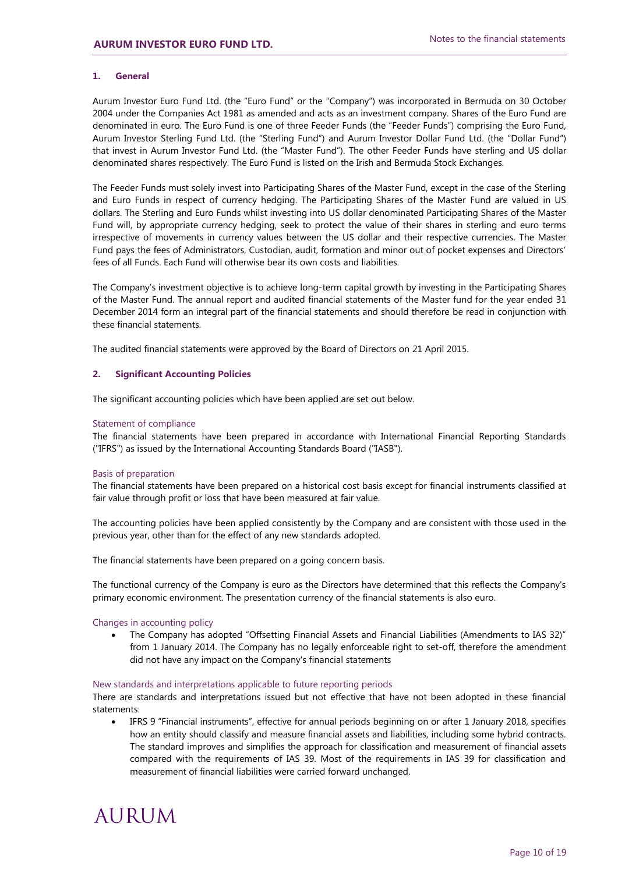## **1. General**

Aurum Investor Euro Fund Ltd. (the "Euro Fund" or the "Company") was incorporated in Bermuda on 30 October 2004 under the Companies Act 1981 as amended and acts as an investment company. Shares of the Euro Fund are denominated in euro. The Euro Fund is one of three Feeder Funds (the "Feeder Funds") comprising the Euro Fund, Aurum Investor Sterling Fund Ltd. (the "Sterling Fund") and Aurum Investor Dollar Fund Ltd. (the "Dollar Fund") that invest in Aurum Investor Fund Ltd. (the "Master Fund"). The other Feeder Funds have sterling and US dollar denominated shares respectively. The Euro Fund is listed on the Irish and Bermuda Stock Exchanges.

The Feeder Funds must solely invest into Participating Shares of the Master Fund, except in the case of the Sterling and Euro Funds in respect of currency hedging. The Participating Shares of the Master Fund are valued in US dollars. The Sterling and Euro Funds whilst investing into US dollar denominated Participating Shares of the Master Fund will, by appropriate currency hedging, seek to protect the value of their shares in sterling and euro terms irrespective of movements in currency values between the US dollar and their respective currencies. The Master Fund pays the fees of Administrators, Custodian, audit, formation and minor out of pocket expenses and Directors' fees of all Funds. Each Fund will otherwise bear its own costs and liabilities.

The Company's investment objective is to achieve long-term capital growth by investing in the Participating Shares of the Master Fund. The annual report and audited financial statements of the Master fund for the year ended 31 December 2014 form an integral part of the financial statements and should therefore be read in conjunction with these financial statements.

The audited financial statements were approved by the Board of Directors on 21 April 2015.

### **2. Significant Accounting Policies**

The significant accounting policies which have been applied are set out below.

#### Statement of compliance

The financial statements have been prepared in accordance with International Financial Reporting Standards ("IFRS") as issued by the International Accounting Standards Board ("IASB").

#### Basis of preparation

The financial statements have been prepared on a historical cost basis except for financial instruments classified at fair value through profit or loss that have been measured at fair value.

The accounting policies have been applied consistently by the Company and are consistent with those used in the previous year, other than for the effect of any new standards adopted.

The financial statements have been prepared on a going concern basis.

The functional currency of the Company is euro as the Directors have determined that this reflects the Company's primary economic environment. The presentation currency of the financial statements is also euro.

#### Changes in accounting policy

• The Company has adopted "Offsetting Financial Assets and Financial Liabilities (Amendments to IAS 32)" from 1 January 2014. The Company has no legally enforceable right to set-off, therefore the amendment did not have any impact on the Company's financial statements

### New standards and interpretations applicable to future reporting periods

There are standards and interpretations issued but not effective that have not been adopted in these financial statements:

 IFRS 9 "Financial instruments", effective for annual periods beginning on or after 1 January 2018, specifies how an entity should classify and measure financial assets and liabilities, including some hybrid contracts. The standard improves and simplifies the approach for classification and measurement of financial assets compared with the requirements of IAS 39. Most of the requirements in IAS 39 for classification and measurement of financial liabilities were carried forward unchanged.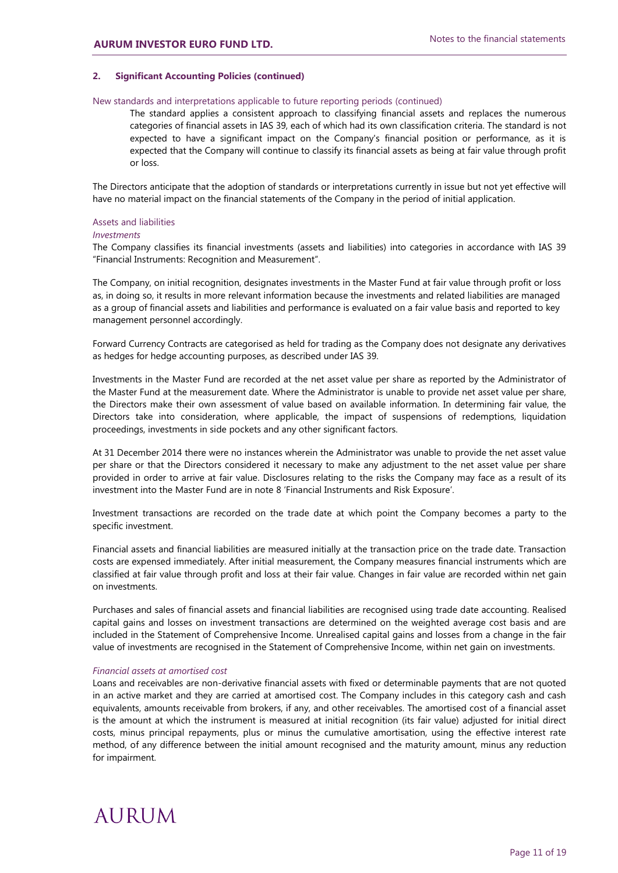## **2. Significant Accounting Policies (continued)**

### New standards and interpretations applicable to future reporting periods (continued)

The standard applies a consistent approach to classifying financial assets and replaces the numerous categories of financial assets in IAS 39, each of which had its own classification criteria. The standard is not expected to have a significant impact on the Company's financial position or performance, as it is expected that the Company will continue to classify its financial assets as being at fair value through profit or loss.

The Directors anticipate that the adoption of standards or interpretations currently in issue but not yet effective will have no material impact on the financial statements of the Company in the period of initial application.

#### Assets and liabilities

### *Investments*

The Company classifies its financial investments (assets and liabilities) into categories in accordance with IAS 39 "Financial Instruments: Recognition and Measurement".

The Company, on initial recognition, designates investments in the Master Fund at fair value through profit or loss as, in doing so, it results in more relevant information because the investments and related liabilities are managed as a group of financial assets and liabilities and performance is evaluated on a fair value basis and reported to key management personnel accordingly.

Forward Currency Contracts are categorised as held for trading as the Company does not designate any derivatives as hedges for hedge accounting purposes, as described under IAS 39.

Investments in the Master Fund are recorded at the net asset value per share as reported by the Administrator of the Master Fund at the measurement date. Where the Administrator is unable to provide net asset value per share, the Directors make their own assessment of value based on available information. In determining fair value, the Directors take into consideration, where applicable, the impact of suspensions of redemptions, liquidation proceedings, investments in side pockets and any other significant factors.

At 31 December 2014 there were no instances wherein the Administrator was unable to provide the net asset value per share or that the Directors considered it necessary to make any adjustment to the net asset value per share provided in order to arrive at fair value. Disclosures relating to the risks the Company may face as a result of its investment into the Master Fund are in note 8 'Financial Instruments and Risk Exposure'.

Investment transactions are recorded on the trade date at which point the Company becomes a party to the specific investment.

Financial assets and financial liabilities are measured initially at the transaction price on the trade date. Transaction costs are expensed immediately. After initial measurement, the Company measures financial instruments which are classified at fair value through profit and loss at their fair value. Changes in fair value are recorded within net gain on investments.

Purchases and sales of financial assets and financial liabilities are recognised using trade date accounting. Realised capital gains and losses on investment transactions are determined on the weighted average cost basis and are included in the Statement of Comprehensive Income. Unrealised capital gains and losses from a change in the fair value of investments are recognised in the Statement of Comprehensive Income, within net gain on investments.

#### *Financial assets at amortised cost*

Loans and receivables are non-derivative financial assets with fixed or determinable payments that are not quoted in an active market and they are carried at amortised cost. The Company includes in this category cash and cash equivalents, amounts receivable from brokers, if any, and other receivables. The amortised cost of a financial asset is the amount at which the instrument is measured at initial recognition (its fair value) adjusted for initial direct costs, minus principal repayments, plus or minus the cumulative amortisation, using the effective interest rate method, of any difference between the initial amount recognised and the maturity amount, minus any reduction for impairment.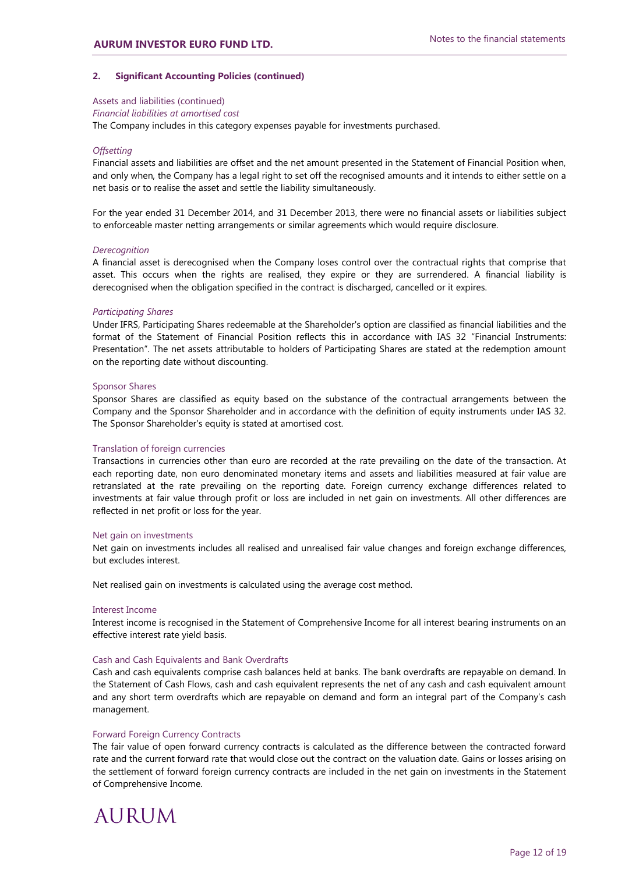### **2. Significant Accounting Policies (continued)**

Assets and liabilities (continued)

### *Financial liabilities at amortised cost*

The Company includes in this category expenses payable for investments purchased.

### *Offsetting*

Financial assets and liabilities are offset and the net amount presented in the Statement of Financial Position when, and only when, the Company has a legal right to set off the recognised amounts and it intends to either settle on a net basis or to realise the asset and settle the liability simultaneously.

For the year ended 31 December 2014, and 31 December 2013, there were no financial assets or liabilities subject to enforceable master netting arrangements or similar agreements which would require disclosure.

#### *Derecognition*

A financial asset is derecognised when the Company loses control over the contractual rights that comprise that asset. This occurs when the rights are realised, they expire or they are surrendered. A financial liability is derecognised when the obligation specified in the contract is discharged, cancelled or it expires.

#### *Participating Shares*

Under IFRS, Participating Shares redeemable at the Shareholder's option are classified as financial liabilities and the format of the Statement of Financial Position reflects this in accordance with IAS 32 "Financial Instruments: Presentation". The net assets attributable to holders of Participating Shares are stated at the redemption amount on the reporting date without discounting.

#### Sponsor Shares

Sponsor Shares are classified as equity based on the substance of the contractual arrangements between the Company and the Sponsor Shareholder and in accordance with the definition of equity instruments under IAS 32. The Sponsor Shareholder's equity is stated at amortised cost.

#### Translation of foreign currencies

Transactions in currencies other than euro are recorded at the rate prevailing on the date of the transaction. At each reporting date, non euro denominated monetary items and assets and liabilities measured at fair value are retranslated at the rate prevailing on the reporting date. Foreign currency exchange differences related to investments at fair value through profit or loss are included in net gain on investments. All other differences are reflected in net profit or loss for the year.

#### Net gain on investments

Net gain on investments includes all realised and unrealised fair value changes and foreign exchange differences, but excludes interest.

Net realised gain on investments is calculated using the average cost method.

#### Interest Income

Interest income is recognised in the Statement of Comprehensive Income for all interest bearing instruments on an effective interest rate yield basis.

#### Cash and Cash Equivalents and Bank Overdrafts

Cash and cash equivalents comprise cash balances held at banks. The bank overdrafts are repayable on demand. In the Statement of Cash Flows, cash and cash equivalent represents the net of any cash and cash equivalent amount and any short term overdrafts which are repayable on demand and form an integral part of the Company's cash management.

### Forward Foreign Currency Contracts

The fair value of open forward currency contracts is calculated as the difference between the contracted forward rate and the current forward rate that would close out the contract on the valuation date. Gains or losses arising on the settlement of forward foreign currency contracts are included in the net gain on investments in the Statement of Comprehensive Income.

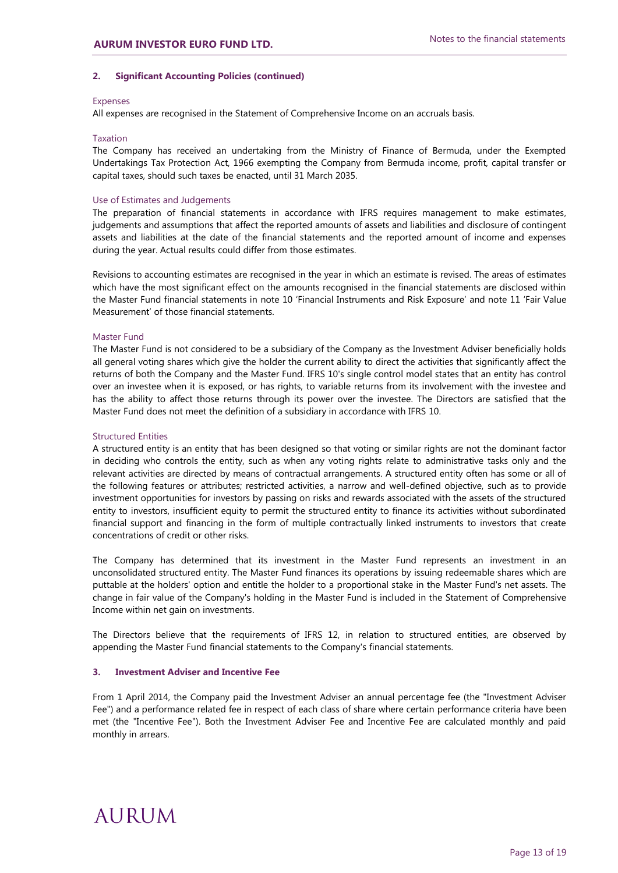## **2. Significant Accounting Policies (continued)**

## Expenses

All expenses are recognised in the Statement of Comprehensive Income on an accruals basis.

## Taxation

The Company has received an undertaking from the Ministry of Finance of Bermuda, under the Exempted Undertakings Tax Protection Act, 1966 exempting the Company from Bermuda income, profit, capital transfer or capital taxes, should such taxes be enacted, until 31 March 2035.

## Use of Estimates and Judgements

The preparation of financial statements in accordance with IFRS requires management to make estimates, judgements and assumptions that affect the reported amounts of assets and liabilities and disclosure of contingent assets and liabilities at the date of the financial statements and the reported amount of income and expenses during the year. Actual results could differ from those estimates.

Revisions to accounting estimates are recognised in the year in which an estimate is revised. The areas of estimates which have the most significant effect on the amounts recognised in the financial statements are disclosed within the Master Fund financial statements in note 10 'Financial Instruments and Risk Exposure' and note 11 'Fair Value Measurement' of those financial statements.

## Master Fund

The Master Fund is not considered to be a subsidiary of the Company as the Investment Adviser beneficially holds all general voting shares which give the holder the current ability to direct the activities that significantly affect the returns of both the Company and the Master Fund. IFRS 10's single control model states that an entity has control over an investee when it is exposed, or has rights, to variable returns from its involvement with the investee and has the ability to affect those returns through its power over the investee. The Directors are satisfied that the Master Fund does not meet the definition of a subsidiary in accordance with IFRS 10.

## Structured Entities

A structured entity is an entity that has been designed so that voting or similar rights are not the dominant factor in deciding who controls the entity, such as when any voting rights relate to administrative tasks only and the relevant activities are directed by means of contractual arrangements. A structured entity often has some or all of the following features or attributes; restricted activities, a narrow and well-defined objective, such as to provide investment opportunities for investors by passing on risks and rewards associated with the assets of the structured entity to investors, insufficient equity to permit the structured entity to finance its activities without subordinated financial support and financing in the form of multiple contractually linked instruments to investors that create concentrations of credit or other risks.

The Company has determined that its investment in the Master Fund represents an investment in an unconsolidated structured entity. The Master Fund finances its operations by issuing redeemable shares which are puttable at the holders' option and entitle the holder to a proportional stake in the Master Fund's net assets. The change in fair value of the Company's holding in the Master Fund is included in the Statement of Comprehensive Income within net gain on investments.

The Directors believe that the requirements of IFRS 12, in relation to structured entities, are observed by appending the Master Fund financial statements to the Company's financial statements.

## **3. Investment Adviser and Incentive Fee**

From 1 April 2014, the Company paid the Investment Adviser an annual percentage fee (the "Investment Adviser Fee") and a performance related fee in respect of each class of share where certain performance criteria have been met (the "Incentive Fee"). Both the Investment Adviser Fee and Incentive Fee are calculated monthly and paid monthly in arrears.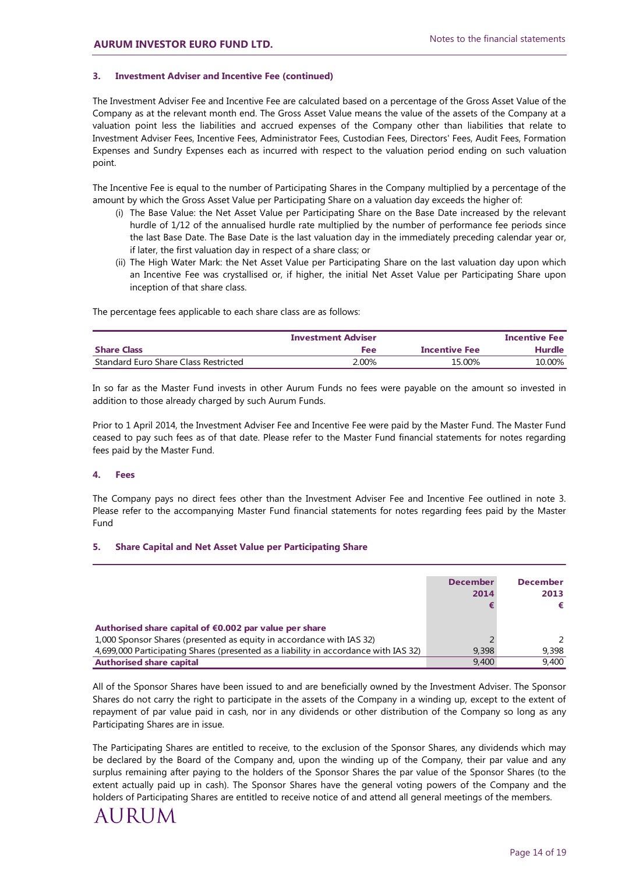## **3. Investment Adviser and Incentive Fee (continued)**

The Investment Adviser Fee and Incentive Fee are calculated based on a percentage of the Gross Asset Value of the Company as at the relevant month end. The Gross Asset Value means the value of the assets of the Company at a valuation point less the liabilities and accrued expenses of the Company other than liabilities that relate to Investment Adviser Fees, Incentive Fees, Administrator Fees, Custodian Fees, Directors' Fees, Audit Fees, Formation Expenses and Sundry Expenses each as incurred with respect to the valuation period ending on such valuation point.

The Incentive Fee is equal to the number of Participating Shares in the Company multiplied by a percentage of the amount by which the Gross Asset Value per Participating Share on a valuation day exceeds the higher of:

- (i) The Base Value: the Net Asset Value per Participating Share on the Base Date increased by the relevant hurdle of 1/12 of the annualised hurdle rate multiplied by the number of performance fee periods since the last Base Date. The Base Date is the last valuation day in the immediately preceding calendar year or, if later, the first valuation day in respect of a share class; or
- (ii) The High Water Mark: the Net Asset Value per Participating Share on the last valuation day upon which an Incentive Fee was crystallised or, if higher, the initial Net Asset Value per Participating Share upon inception of that share class.

The percentage fees applicable to each share class are as follows:

| <b>Investment Adviser</b>            |       |               | <b>Incentive Fee</b> |
|--------------------------------------|-------|---------------|----------------------|
| <b>Share Class</b>                   | Fee   | Incentive Fee | Hurdle               |
| Standard Euro Share Class Restricted | 2.00% | 15.00%        | 10.00%               |

In so far as the Master Fund invests in other Aurum Funds no fees were payable on the amount so invested in addition to those already charged by such Aurum Funds.

Prior to 1 April 2014, the Investment Adviser Fee and Incentive Fee were paid by the Master Fund. The Master Fund ceased to pay such fees as of that date. Please refer to the Master Fund financial statements for notes regarding fees paid by the Master Fund.

## **4. Fees**

The Company pays no direct fees other than the Investment Adviser Fee and Incentive Fee outlined in note 3. Please refer to the accompanying Master Fund financial statements for notes regarding fees paid by the Master Fund

## **5. Share Capital and Net Asset Value per Participating Share**

|                                                                                     | <b>December</b><br>2014 | <b>December</b><br>2013 |
|-------------------------------------------------------------------------------------|-------------------------|-------------------------|
| Authorised share capital of €0.002 par value per share                              |                         |                         |
| 1,000 Sponsor Shares (presented as equity in accordance with IAS 32)                |                         |                         |
| 4,699,000 Participating Shares (presented as a liability in accordance with IAS 32) | 9,398                   | 9.398                   |
| <b>Authorised share capital</b>                                                     | 9,400                   | 9,400                   |

All of the Sponsor Shares have been issued to and are beneficially owned by the Investment Adviser. The Sponsor Shares do not carry the right to participate in the assets of the Company in a winding up, except to the extent of repayment of par value paid in cash, nor in any dividends or other distribution of the Company so long as any Participating Shares are in issue.

The Participating Shares are entitled to receive, to the exclusion of the Sponsor Shares, any dividends which may be declared by the Board of the Company and, upon the winding up of the Company, their par value and any surplus remaining after paying to the holders of the Sponsor Shares the par value of the Sponsor Shares (to the extent actually paid up in cash). The Sponsor Shares have the general voting powers of the Company and the holders of Participating Shares are entitled to receive notice of and attend all general meetings of the members.

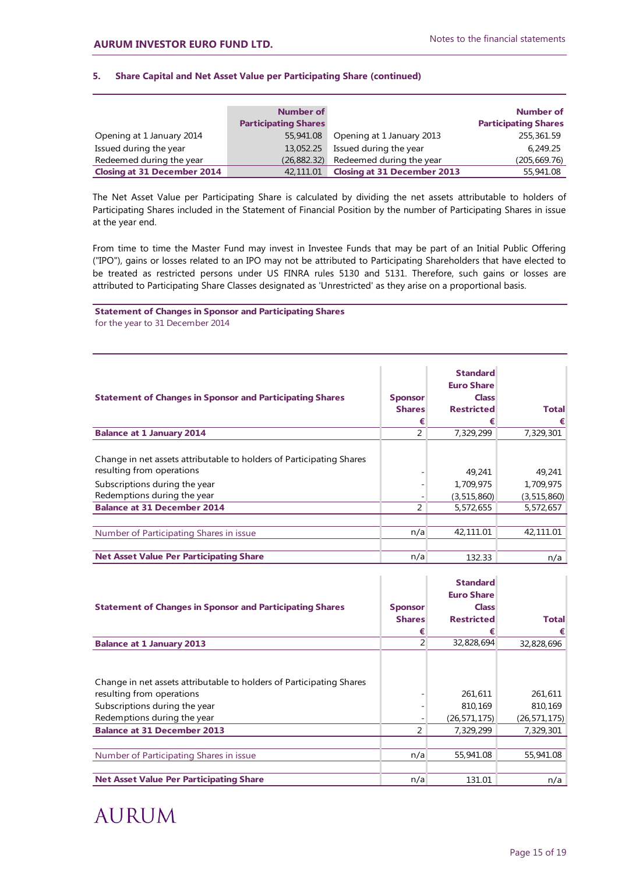## **5. Share Capital and Net Asset Value per Participating Share (continued)**

|                                    | Number of                   |                                    | Number of                   |
|------------------------------------|-----------------------------|------------------------------------|-----------------------------|
|                                    | <b>Participating Shares</b> |                                    | <b>Participating Shares</b> |
| Opening at 1 January 2014          | 55,941.08                   | Opening at 1 January 2013          | 255,361.59                  |
| Issued during the year             | 13,052.25                   | Issued during the year             | 6,249.25                    |
| Redeemed during the year           | (26, 882.32)                | Redeemed during the year           | (205, 669.76)               |
| <b>Closing at 31 December 2014</b> | 42,111.01                   | <b>Closing at 31 December 2013</b> | 55,941.08                   |

The Net Asset Value per Participating Share is calculated by dividing the net assets attributable to holders of Participating Shares included in the Statement of Financial Position by the number of Participating Shares in issue at the year end.

From time to time the Master Fund may invest in Investee Funds that may be part of an Initial Public Offering ("IPO"), gains or losses related to an IPO may not be attributed to Participating Shareholders that have elected to be treated as restricted persons under US FINRA rules 5130 and 5131. Therefore, such gains or losses are attributed to Participating Share Classes designated as 'Unrestricted' as they arise on a proportional basis.

## **Statement of Changes in Sponsor and Participating Shares** for the year to 31 December 2014

| <b>Statement of Changes in Sponsor and Participating Shares</b>                                                                                                   | <b>Sponsor</b><br><b>Shares</b> | <b>Standard</b><br><b>Euro Share</b><br><b>Class</b><br><b>Restricted</b> | <b>Total</b>                       |
|-------------------------------------------------------------------------------------------------------------------------------------------------------------------|---------------------------------|---------------------------------------------------------------------------|------------------------------------|
|                                                                                                                                                                   | €                               | €                                                                         | €                                  |
| <b>Balance at 1 January 2014</b>                                                                                                                                  | 2                               | 7,329,299                                                                 | 7,329,301                          |
| Change in net assets attributable to holders of Participating Shares<br>resulting from operations<br>Subscriptions during the year<br>Redemptions during the year |                                 | 49.241<br>1,709,975<br>(3, 515, 860)                                      | 49,241<br>1,709,975<br>(3,515,860) |
| <b>Balance at 31 December 2014</b>                                                                                                                                | 2                               | 5,572,655                                                                 | 5,572,657                          |
| Number of Participating Shares in issue                                                                                                                           | n/a                             | 42,111.01                                                                 | 42,111.01                          |
| <b>Net Asset Value Per Participating Share</b>                                                                                                                    | n/a                             | 132.33                                                                    | n/a                                |

| <b>Statement of Changes in Sponsor and Participating Shares</b>                                                                                                   | <b>Sponsor</b><br><b>Shares</b><br>€ | <b>Standard</b><br><b>Euro Share</b><br><b>Class</b><br><b>Restricted</b><br>€ | <b>Total</b>                         |
|-------------------------------------------------------------------------------------------------------------------------------------------------------------------|--------------------------------------|--------------------------------------------------------------------------------|--------------------------------------|
| <b>Balance at 1 January 2013</b>                                                                                                                                  | $\overline{2}$                       | 32,828,694                                                                     | 32,828,696                           |
| Change in net assets attributable to holders of Participating Shares<br>resulting from operations<br>Subscriptions during the year<br>Redemptions during the year |                                      | 261,611<br>810,169<br>(26, 571, 175)                                           | 261,611<br>810,169<br>(26, 571, 175) |
| <b>Balance at 31 December 2013</b>                                                                                                                                | 2                                    | 7,329,299                                                                      | 7,329,301                            |
| Number of Participating Shares in issue                                                                                                                           | n/a                                  | 55,941.08                                                                      | 55,941.08                            |
| <b>Net Asset Value Per Participating Share</b>                                                                                                                    | n/a                                  | 131.01                                                                         | n/a                                  |

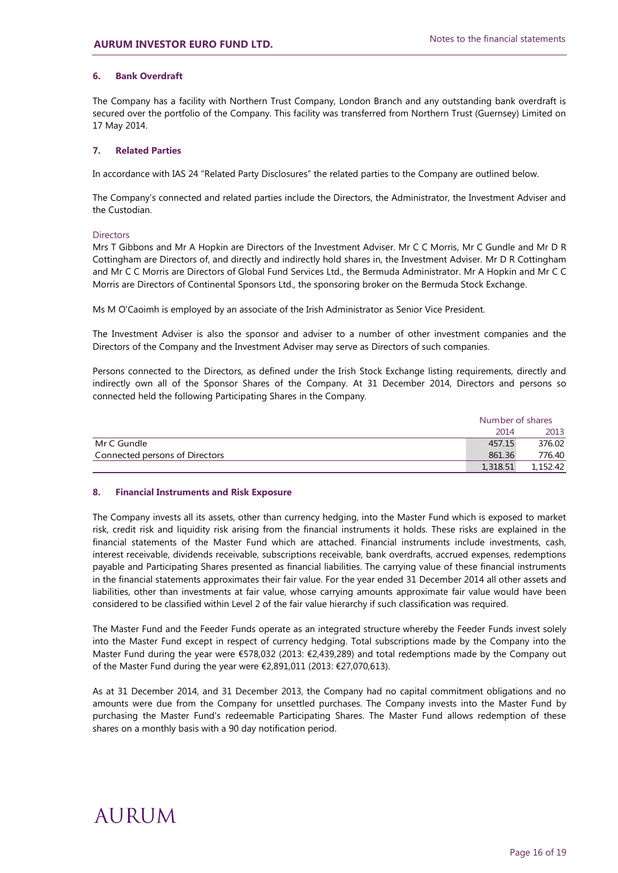## **6. Bank Overdraft**

The Company has a facility with Northern Trust Company, London Branch and any outstanding bank overdraft is secured over the portfolio of the Company. This facility was transferred from Northern Trust (Guernsey) Limited on 17 May 2014.

## **7. Related Parties**

In accordance with IAS 24 "Related Party Disclosures" the related parties to the Company are outlined below.

The Company's connected and related parties include the Directors, the Administrator, the Investment Adviser and the Custodian.

### **Directors**

Mrs T Gibbons and Mr A Hopkin are Directors of the Investment Adviser. Mr C C Morris, Mr C Gundle and Mr D R Cottingham are Directors of, and directly and indirectly hold shares in, the Investment Adviser. Mr D R Cottingham and Mr C C Morris are Directors of Global Fund Services Ltd., the Bermuda Administrator. Mr A Hopkin and Mr C C Morris are Directors of Continental Sponsors Ltd., the sponsoring broker on the Bermuda Stock Exchange.

Ms M O'Caoimh is employed by an associate of the Irish Administrator as Senior Vice President.

The Investment Adviser is also the sponsor and adviser to a number of other investment companies and the Directors of the Company and the Investment Adviser may serve as Directors of such companies.

Persons connected to the Directors, as defined under the Irish Stock Exchange listing requirements, directly and indirectly own all of the Sponsor Shares of the Company. At 31 December 2014, Directors and persons so connected held the following Participating Shares in the Company.

|                                |          | Number of shares |  |  |
|--------------------------------|----------|------------------|--|--|
|                                | 2014     | 2013             |  |  |
| Mr C Gundle                    | 457.15   | 376.02           |  |  |
| Connected persons of Directors | 861.36   | 776.40           |  |  |
|                                | 1,318.51 | 1,152.42         |  |  |

## **8. Financial Instruments and Risk Exposure**

The Company invests all its assets, other than currency hedging, into the Master Fund which is exposed to market risk, credit risk and liquidity risk arising from the financial instruments it holds. These risks are explained in the financial statements of the Master Fund which are attached. Financial instruments include investments, cash, interest receivable, dividends receivable, subscriptions receivable, bank overdrafts, accrued expenses, redemptions payable and Participating Shares presented as financial liabilities. The carrying value of these financial instruments in the financial statements approximates their fair value. For the year ended 31 December 2014 all other assets and liabilities, other than investments at fair value, whose carrying amounts approximate fair value would have been considered to be classified within Level 2 of the fair value hierarchy if such classification was required.

The Master Fund and the Feeder Funds operate as an integrated structure whereby the Feeder Funds invest solely into the Master Fund except in respect of currency hedging. Total subscriptions made by the Company into the Master Fund during the year were €578,032 (2013: €2,439,289) and total redemptions made by the Company out of the Master Fund during the year were €2,891,011 (2013: €27,070,613).

As at 31 December 2014, and 31 December 2013, the Company had no capital commitment obligations and no amounts were due from the Company for unsettled purchases. The Company invests into the Master Fund by purchasing the Master Fund's redeemable Participating Shares. The Master Fund allows redemption of these shares on a monthly basis with a 90 day notification period.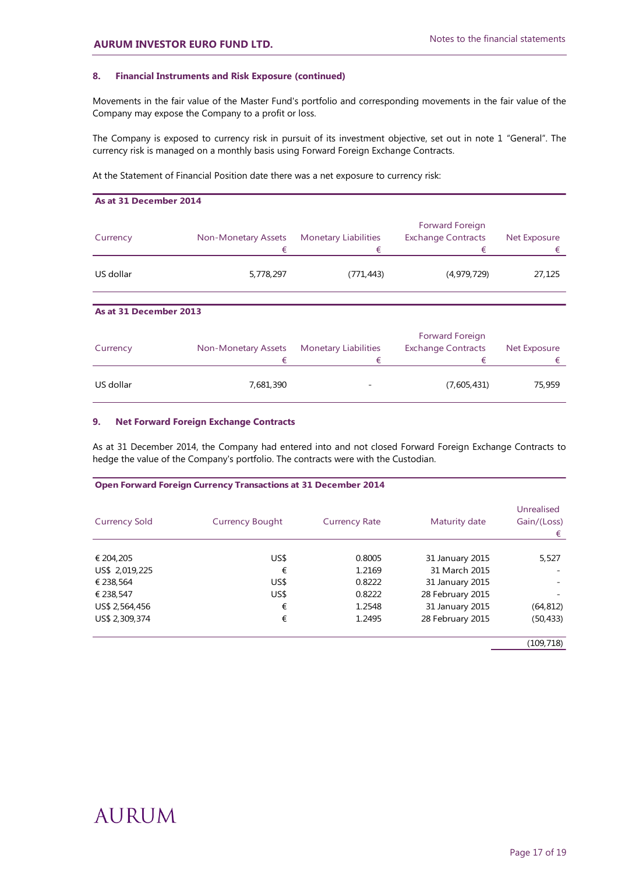## **8. Financial Instruments and Risk Exposure (continued)**

Movements in the fair value of the Master Fund's portfolio and corresponding movements in the fair value of the Company may expose the Company to a profit or loss.

The Company is exposed to currency risk in pursuit of its investment objective, set out in note 1 "General". The currency risk is managed on a monthly basis using Forward Foreign Exchange Contracts.

At the Statement of Financial Position date there was a net exposure to currency risk:

| As at 31 December 2014 |                                 |                                  |                                                   |                          |
|------------------------|---------------------------------|----------------------------------|---------------------------------------------------|--------------------------|
| Currency               | <b>Non-Monetary Assets</b><br>€ | <b>Monetary Liabilities</b><br>€ | Forward Foreign<br><b>Exchange Contracts</b><br>€ | <b>Net Exposure</b><br>€ |
| US dollar              | 5,778,297                       | (771, 443)                       | (4, 979, 729)                                     | 27,125                   |
|                        |                                 |                                  |                                                   |                          |
| As at 31 December 2013 |                                 |                                  |                                                   |                          |
| Currency               | <b>Non-Monetary Assets</b><br>€ | <b>Monetary Liabilities</b><br>€ | Forward Foreign<br><b>Exchange Contracts</b><br>€ | <b>Net Exposure</b><br>€ |

## **9. Net Forward Foreign Exchange Contracts**

As at 31 December 2014, the Company had entered into and not closed Forward Foreign Exchange Contracts to hedge the value of the Company's portfolio. The contracts were with the Custodian.

US dollar 7,681,390 - (7,605,431) 75,959

|  | <b>Open Forward Foreign Currency Transactions at 31 December 2014</b> |
|--|-----------------------------------------------------------------------|
|--|-----------------------------------------------------------------------|

| <b>Currency Sold</b> | <b>Currency Bought</b> | <b>Currency Rate</b> | Maturity date    | Unrealised<br>Gain/(Loss)<br>€ |
|----------------------|------------------------|----------------------|------------------|--------------------------------|
|                      |                        |                      |                  |                                |
| € 204,205            | US\$                   | 0.8005               | 31 January 2015  | 5,527                          |
| US\$ 2,019,225       | €                      | 1.2169               | 31 March 2015    |                                |
| € 238,564            | US\$                   | 0.8222               | 31 January 2015  |                                |
| € 238,547            | US\$                   | 0.8222               | 28 February 2015 |                                |
| US\$ 2,564,456       | €                      | 1.2548               | 31 January 2015  | (64, 812)                      |
| US\$ 2,309,374       | €                      | 1.2495               | 28 February 2015 | (50, 433)                      |

(109,718)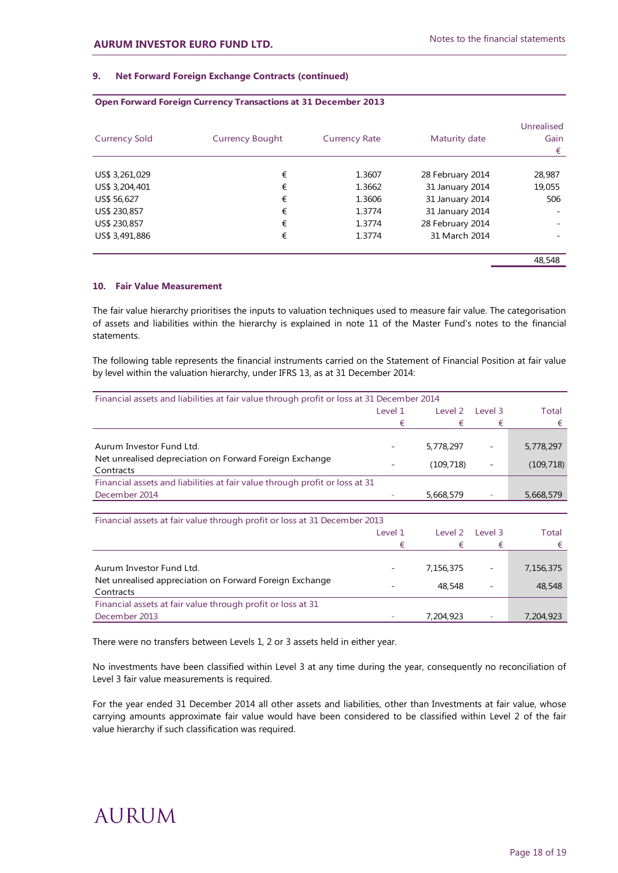## **9. Net Forward Foreign Exchange Contracts (continued)**

| <b>Currency Sold</b> | <b>Currency Bought</b> | <b>Currency Rate</b> | Maturity date    | Unrealised<br>Gain<br>€ |
|----------------------|------------------------|----------------------|------------------|-------------------------|
| US\$ 3,261,029       | €                      | 1.3607               | 28 February 2014 | 28,987                  |
| US\$ 3,204,401       | €                      | 1.3662               | 31 January 2014  | 19,055                  |
| US\$ 56,627          | €                      | 1.3606               | 31 January 2014  | 506                     |
| US\$ 230,857         | €                      | 1.3774               | 31 January 2014  |                         |
| US\$ 230,857         | €                      | 1.3774               | 28 February 2014 |                         |
| US\$ 3,491,886       | €                      | 1.3774               | 31 March 2014    |                         |
|                      |                        |                      |                  | 48,548                  |

#### **Open Forward Foreign Currency Transactions at 31 December 2013**

## **10. Fair Value Measurement**

The fair value hierarchy prioritises the inputs to valuation techniques used to measure fair value. The categorisation of assets and liabilities within the hierarchy is explained in note 11 of the Master Fund's notes to the financial statements.

The following table represents the financial instruments carried on the Statement of Financial Position at fair value by level within the valuation hierarchy, under IFRS 13, as at 31 December 2014:

| Financial assets and liabilities at fair value through profit or loss at 31 December 2014 |                                                                           |           |                          |            |
|-------------------------------------------------------------------------------------------|---------------------------------------------------------------------------|-----------|--------------------------|------------|
|                                                                                           | Level 1<br>Level 2<br>Level 3                                             |           |                          | Total      |
|                                                                                           | €                                                                         | €         | €                        | €          |
|                                                                                           |                                                                           |           |                          |            |
| Aurum Investor Fund Ltd.                                                                  |                                                                           | 5,778,297 |                          | 5,778,297  |
| Net unrealised depreciation on Forward Foreign Exchange                                   |                                                                           | (109,718) | $\overline{\phantom{a}}$ | (109, 718) |
| Contracts                                                                                 |                                                                           |           |                          |            |
| Financial assets and liabilities at fair value through profit or loss at 31               |                                                                           |           |                          |            |
| December 2014                                                                             |                                                                           | 5,668,579 |                          | 5,668,579  |
|                                                                                           |                                                                           |           |                          |            |
|                                                                                           | Financial assets at fair value through profit or loss at 31 December 2013 |           |                          |            |

| . .                                                                                              | Level 1<br>€ | Level 2<br>€        | Level 3 | Total               |
|--------------------------------------------------------------------------------------------------|--------------|---------------------|---------|---------------------|
| Aurum Investor Fund Ltd.<br>Net unrealised appreciation on Forward Foreign Exchange<br>Contracts | -            | 7,156,375<br>48.548 |         | 7,156,375<br>48,548 |
| Financial assets at fair value through profit or loss at 31<br>December 2013                     | ۰            | 7,204,923           | ۰       | 7,204,923           |

There were no transfers between Levels 1, 2 or 3 assets held in either year.

No investments have been classified within Level 3 at any time during the year, consequently no reconciliation of Level 3 fair value measurements is required.

For the year ended 31 December 2014 all other assets and liabilities, other than Investments at fair value, whose carrying amounts approximate fair value would have been considered to be classified within Level 2 of the fair value hierarchy if such classification was required.